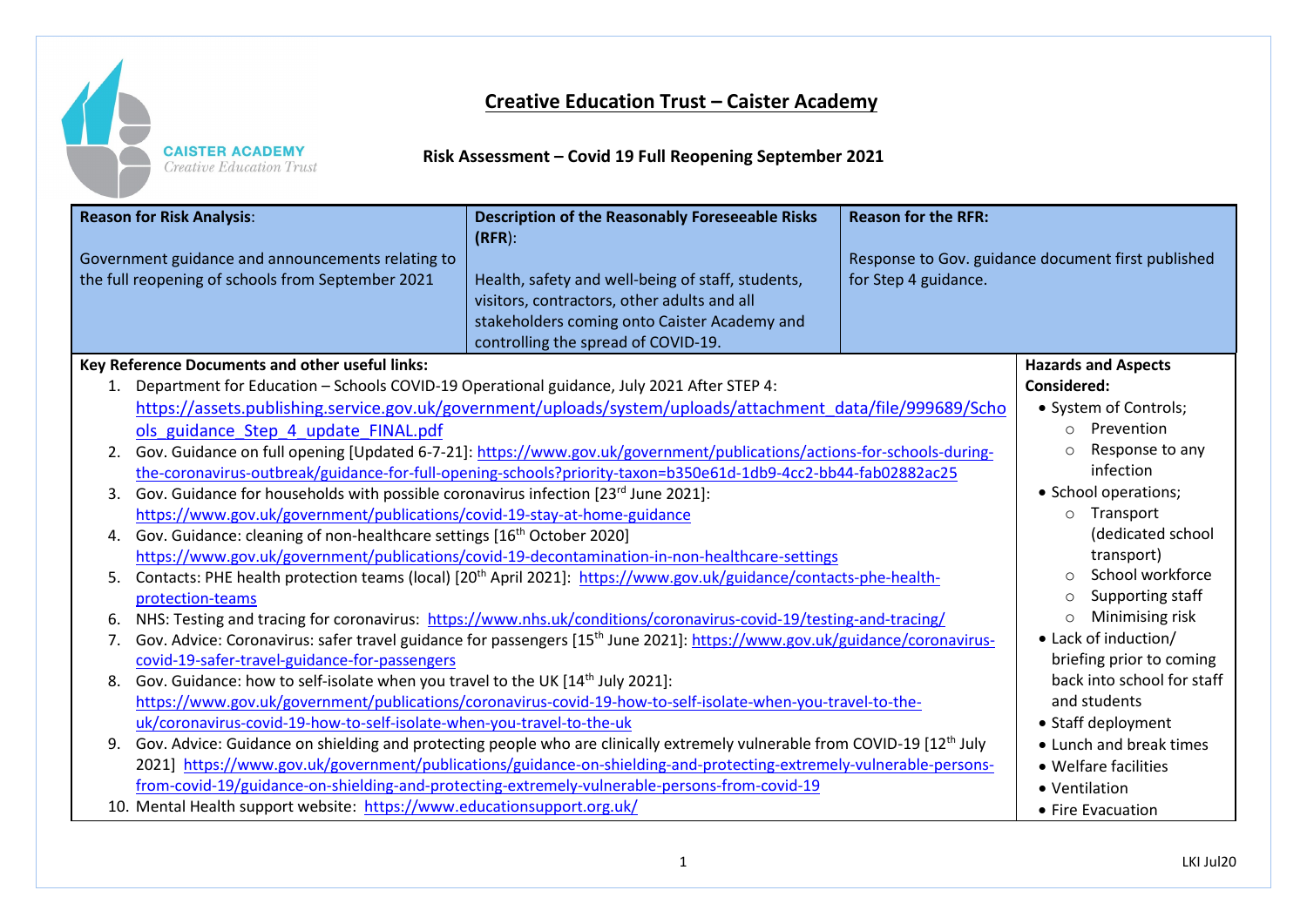

## **Creative Education Trust – Caister Academy**

**Risk Assessment – Covid 19 Full Reopening September 2021**

| <b>Reason for Risk Analysis:</b><br><b>Description of the Reasonably Foreseeable Risks</b><br>$(RFR)$ :<br>Government guidance and announcements relating to<br>the full reopening of schools from September 2021<br>Health, safety and well-being of staff, students,<br>visitors, contractors, other adults and all<br>stakeholders coming onto Caister Academy and<br>controlling the spread of COVID-19. | <b>Reason for the RFR:</b><br>Response to Gov. guidance document first published<br>for Step 4 guidance. |
|--------------------------------------------------------------------------------------------------------------------------------------------------------------------------------------------------------------------------------------------------------------------------------------------------------------------------------------------------------------------------------------------------------------|----------------------------------------------------------------------------------------------------------|
| Key Reference Documents and other useful links:                                                                                                                                                                                                                                                                                                                                                              | <b>Hazards and Aspects</b>                                                                               |
| Department for Education - Schools COVID-19 Operational guidance, July 2021 After STEP 4:<br>1.                                                                                                                                                                                                                                                                                                              | <b>Considered:</b>                                                                                       |
| https://assets.publishing.service.gov.uk/government/uploads/system/uploads/attachment_data/file/999689/Scho                                                                                                                                                                                                                                                                                                  | • System of Controls;                                                                                    |
| ols guidance Step 4 update FINAL.pdf                                                                                                                                                                                                                                                                                                                                                                         | Prevention<br>$\circ$                                                                                    |
| Gov. Guidance on full opening [Updated 6-7-21]: https://www.gov.uk/government/publications/actions-for-schools-during-<br>2.                                                                                                                                                                                                                                                                                 | Response to any                                                                                          |
| the-coronavirus-outbreak/guidance-for-full-opening-schools?priority-taxon=b350e61d-1db9-4cc2-bb44-fab02882ac25                                                                                                                                                                                                                                                                                               | infection                                                                                                |
| Gov. Guidance for households with possible coronavirus infection [23rd June 2021]:<br>3.                                                                                                                                                                                                                                                                                                                     | • School operations;                                                                                     |
| https://www.gov.uk/government/publications/covid-19-stay-at-home-guidance                                                                                                                                                                                                                                                                                                                                    | o Transport                                                                                              |
| Gov. Guidance: cleaning of non-healthcare settings [16 <sup>th</sup> October 2020]<br>4.                                                                                                                                                                                                                                                                                                                     | (dedicated school                                                                                        |
| https://www.gov.uk/government/publications/covid-19-decontamination-in-non-healthcare-settings                                                                                                                                                                                                                                                                                                               | transport)                                                                                               |
| Contacts: PHE health protection teams (local) [20 <sup>th</sup> April 2021]: https://www.gov.uk/guidance/contacts-phe-health-<br>5.                                                                                                                                                                                                                                                                          | School workforce                                                                                         |
| protection-teams                                                                                                                                                                                                                                                                                                                                                                                             | Supporting staff                                                                                         |
| NHS: Testing and tracing for coronavirus: https://www.nhs.uk/conditions/coronavirus-covid-19/testing-and-tracing/<br>6.                                                                                                                                                                                                                                                                                      | Minimising risk                                                                                          |
| Gov. Advice: Coronavirus: safer travel guidance for passengers [15 <sup>th</sup> June 2021]: https://www.gov.uk/guidance/coronavirus-<br>7.                                                                                                                                                                                                                                                                  | • Lack of induction/                                                                                     |
| covid-19-safer-travel-guidance-for-passengers                                                                                                                                                                                                                                                                                                                                                                | briefing prior to coming<br>back into school for staff                                                   |
| Gov. Guidance: how to self-isolate when you travel to the UK [14 <sup>th</sup> July 2021]:<br>8.                                                                                                                                                                                                                                                                                                             | and students                                                                                             |
| https://www.gov.uk/government/publications/coronavirus-covid-19-how-to-self-isolate-when-you-travel-to-the-<br>uk/coronavirus-covid-19-how-to-self-isolate-when-you-travel-to-the-uk                                                                                                                                                                                                                         | • Staff deployment                                                                                       |
| Gov. Advice: Guidance on shielding and protecting people who are clinically extremely vulnerable from COVID-19 [12 <sup>th</sup> July<br>9.                                                                                                                                                                                                                                                                  | • Lunch and break times                                                                                  |
| 2021] https://www.gov.uk/government/publications/guidance-on-shielding-and-protecting-extremely-vulnerable-persons-                                                                                                                                                                                                                                                                                          | • Welfare facilities                                                                                     |
| from-covid-19/guidance-on-shielding-and-protecting-extremely-vulnerable-persons-from-covid-19                                                                                                                                                                                                                                                                                                                | • Ventilation                                                                                            |
| 10. Mental Health support website: https://www.educationsupport.org.uk/                                                                                                                                                                                                                                                                                                                                      | • Fire Evacuation                                                                                        |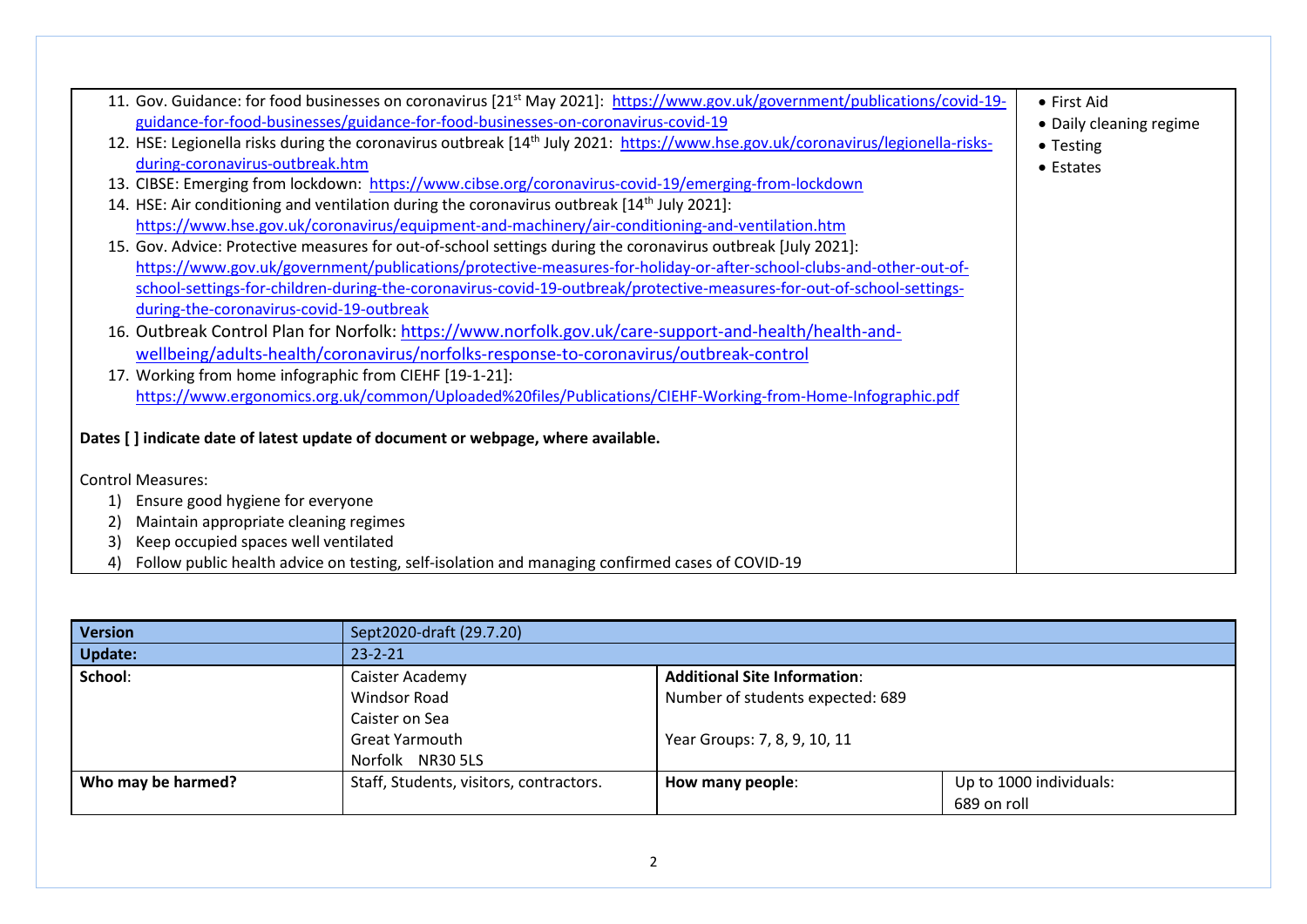|    | 11. Gov. Guidance: for food businesses on coronavirus [21 <sup>st</sup> May 2021]: https://www.gov.uk/government/publications/covid-19-     | • First Aid             |
|----|---------------------------------------------------------------------------------------------------------------------------------------------|-------------------------|
|    | guidance-for-food-businesses/guidance-for-food-businesses-on-coronavirus-covid-19                                                           | • Daily cleaning regime |
|    | 12. HSE: Legionella risks during the coronavirus outbreak [14 <sup>th</sup> July 2021: https://www.hse.gov.uk/coronavirus/legionella-risks- | • Testing               |
|    | during-coronavirus-outbreak.htm                                                                                                             | • Estates               |
|    | 13. CIBSE: Emerging from lockdown: https://www.cibse.org/coronavirus-covid-19/emerging-from-lockdown                                        |                         |
|    | 14. HSE: Air conditioning and ventilation during the coronavirus outbreak $[14th$ July 2021]:                                               |                         |
|    | https://www.hse.gov.uk/coronavirus/equipment-and-machinery/air-conditioning-and-ventilation.htm                                             |                         |
|    | 15. Gov. Advice: Protective measures for out-of-school settings during the coronavirus outbreak [July 2021]:                                |                         |
|    | https://www.gov.uk/government/publications/protective-measures-for-holiday-or-after-school-clubs-and-other-out-of-                          |                         |
|    | school-settings-for-children-during-the-coronavirus-covid-19-outbreak/protective-measures-for-out-of-school-settings-                       |                         |
|    | during-the-coronavirus-covid-19-outbreak                                                                                                    |                         |
|    | 16. Outbreak Control Plan for Norfolk: https://www.norfolk.gov.uk/care-support-and-health/health-and-                                       |                         |
|    | wellbeing/adults-health/coronavirus/norfolks-response-to-coronavirus/outbreak-control                                                       |                         |
|    | 17. Working from home infographic from CIEHF [19-1-21]:                                                                                     |                         |
|    | https://www.ergonomics.org.uk/common/Uploaded%20files/Publications/CIEHF-Working-from-Home-Infographic.pdf                                  |                         |
|    | Dates [] indicate date of latest update of document or webpage, where available.                                                            |                         |
|    |                                                                                                                                             |                         |
|    | <b>Control Measures:</b>                                                                                                                    |                         |
| 1) | Ensure good hygiene for everyone                                                                                                            |                         |
| 2) | Maintain appropriate cleaning regimes                                                                                                       |                         |
| 3) | Keep occupied spaces well ventilated                                                                                                        |                         |
| 4) | Follow public health advice on testing, self-isolation and managing confirmed cases of COVID-19                                             |                         |

| <b>Version</b>     | Sept2020-draft (29.7.20)                         |                                             |             |  |  |
|--------------------|--------------------------------------------------|---------------------------------------------|-------------|--|--|
| <b>Update:</b>     | $23 - 2 - 21$                                    |                                             |             |  |  |
| School:            | Caister Academy                                  | <b>Additional Site Information:</b>         |             |  |  |
|                    | Number of students expected: 689<br>Windsor Road |                                             |             |  |  |
|                    | Caister on Sea                                   |                                             |             |  |  |
|                    | <b>Great Yarmouth</b>                            | Year Groups: 7, 8, 9, 10, 11                |             |  |  |
|                    | Norfolk NR30 5LS                                 |                                             |             |  |  |
| Who may be harmed? | Staff, Students, visitors, contractors.          | Up to 1000 individuals:<br>How many people: |             |  |  |
|                    |                                                  |                                             | 689 on roll |  |  |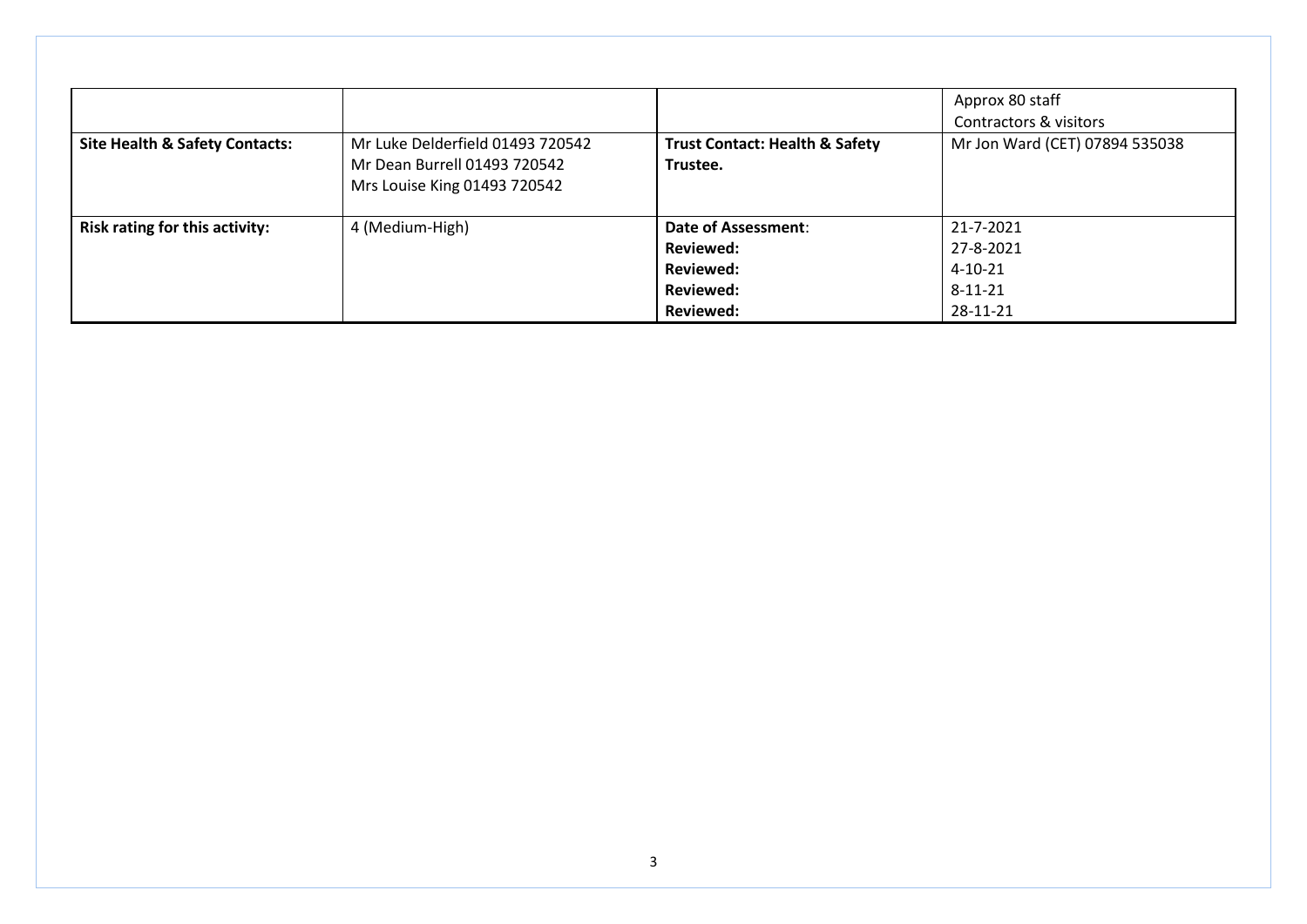| <b>Site Health &amp; Safety Contacts:</b> | Mr Luke Delderfield 01493 720542<br>Mr Dean Burrell 01493 720542<br>Mrs Louise King 01493 720542 | <b>Trust Contact: Health &amp; Safety</b><br>Trustee. | Approx 80 staff<br>Contractors & visitors<br>Mr Jon Ward (CET) 07894 535038 |
|-------------------------------------------|--------------------------------------------------------------------------------------------------|-------------------------------------------------------|-----------------------------------------------------------------------------|
| Risk rating for this activity:            | 4 (Medium-High)                                                                                  | <b>Date of Assessment:</b>                            | 21-7-2021                                                                   |
|                                           |                                                                                                  | <b>Reviewed:</b>                                      | 27-8-2021                                                                   |
|                                           |                                                                                                  | <b>Reviewed:</b>                                      | $4 - 10 - 21$                                                               |
|                                           |                                                                                                  | <b>Reviewed:</b>                                      | $8 - 11 - 21$                                                               |
|                                           |                                                                                                  | <b>Reviewed:</b>                                      | 28-11-21                                                                    |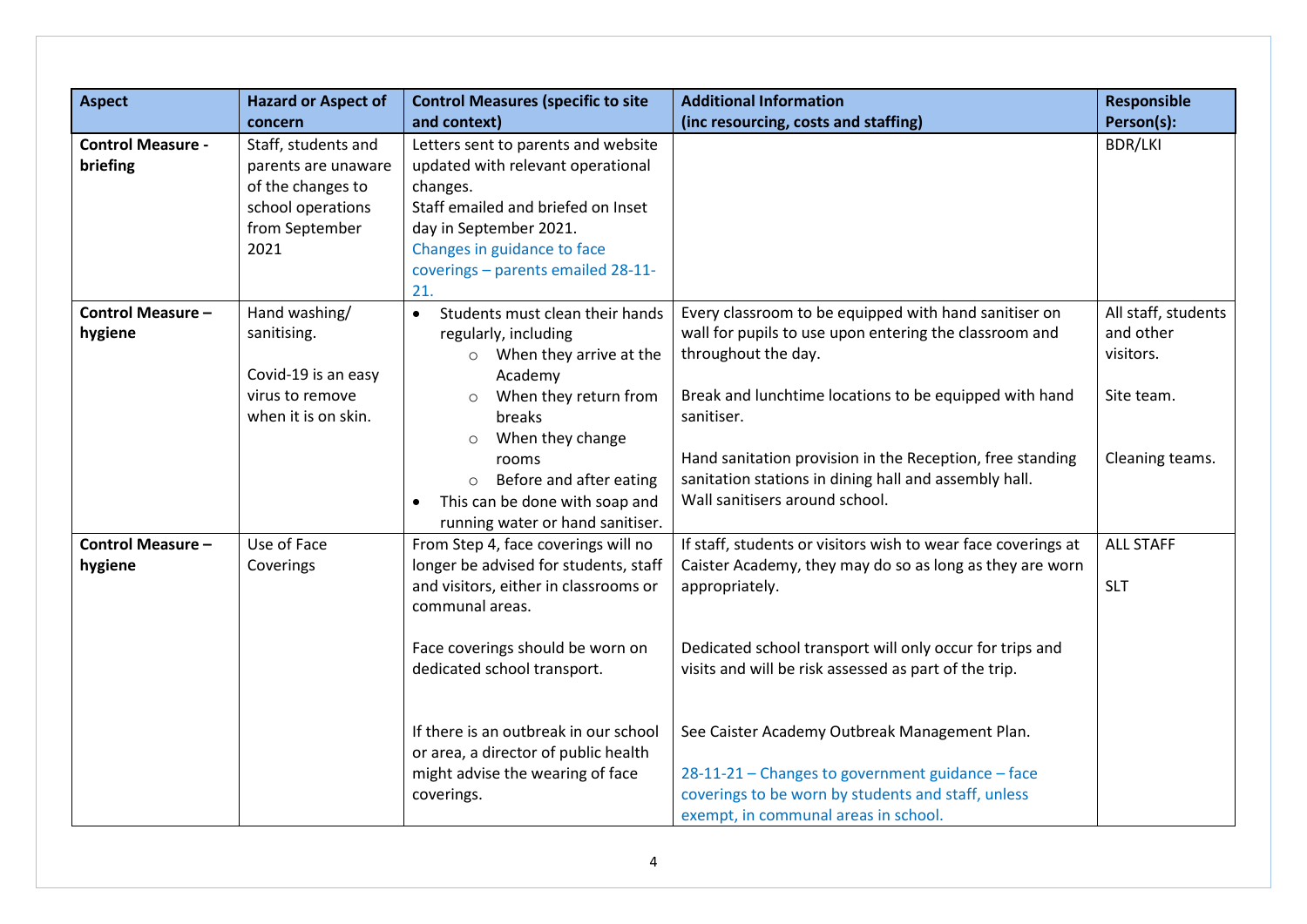| <b>Aspect</b>                        | <b>Hazard or Aspect of</b>                                                                                     | <b>Control Measures (specific to site</b>                                                                                                                                                                                                                                                                                                      | <b>Additional Information</b>                                                                                                                                                                                                                                                                                                                                                                                                                                       | <b>Responsible</b>                                                             |
|--------------------------------------|----------------------------------------------------------------------------------------------------------------|------------------------------------------------------------------------------------------------------------------------------------------------------------------------------------------------------------------------------------------------------------------------------------------------------------------------------------------------|---------------------------------------------------------------------------------------------------------------------------------------------------------------------------------------------------------------------------------------------------------------------------------------------------------------------------------------------------------------------------------------------------------------------------------------------------------------------|--------------------------------------------------------------------------------|
|                                      | concern                                                                                                        | and context)                                                                                                                                                                                                                                                                                                                                   | (inc resourcing, costs and staffing)                                                                                                                                                                                                                                                                                                                                                                                                                                | Person(s):                                                                     |
| <b>Control Measure -</b><br>briefing | Staff, students and<br>parents are unaware<br>of the changes to<br>school operations<br>from September<br>2021 | Letters sent to parents and website<br>updated with relevant operational<br>changes.<br>Staff emailed and briefed on Inset<br>day in September 2021.<br>Changes in guidance to face<br>coverings - parents emailed 28-11-<br>21.                                                                                                               |                                                                                                                                                                                                                                                                                                                                                                                                                                                                     | <b>BDR/LKI</b>                                                                 |
| <b>Control Measure -</b><br>hygiene  | Hand washing/<br>sanitising.<br>Covid-19 is an easy<br>virus to remove<br>when it is on skin.                  | Students must clean their hands<br>$\bullet$<br>regularly, including<br>$\circ$ When they arrive at the<br>Academy<br>When they return from<br>$\circ$<br>breaks<br>When they change<br>$\circ$<br>rooms<br>Before and after eating<br>$\circ$<br>This can be done with soap and<br>running water or hand sanitiser.                           | Every classroom to be equipped with hand sanitiser on<br>wall for pupils to use upon entering the classroom and<br>throughout the day.<br>Break and lunchtime locations to be equipped with hand<br>sanitiser.<br>Hand sanitation provision in the Reception, free standing<br>sanitation stations in dining hall and assembly hall.<br>Wall sanitisers around school.                                                                                              | All staff, students<br>and other<br>visitors.<br>Site team.<br>Cleaning teams. |
| <b>Control Measure -</b><br>hygiene  | Use of Face<br>Coverings                                                                                       | From Step 4, face coverings will no<br>longer be advised for students, staff<br>and visitors, either in classrooms or<br>communal areas.<br>Face coverings should be worn on<br>dedicated school transport.<br>If there is an outbreak in our school<br>or area, a director of public health<br>might advise the wearing of face<br>coverings. | If staff, students or visitors wish to wear face coverings at<br>Caister Academy, they may do so as long as they are worn<br>appropriately.<br>Dedicated school transport will only occur for trips and<br>visits and will be risk assessed as part of the trip.<br>See Caister Academy Outbreak Management Plan.<br>28-11-21 - Changes to government guidance - face<br>coverings to be worn by students and staff, unless<br>exempt, in communal areas in school. | <b>ALL STAFF</b><br><b>SLT</b>                                                 |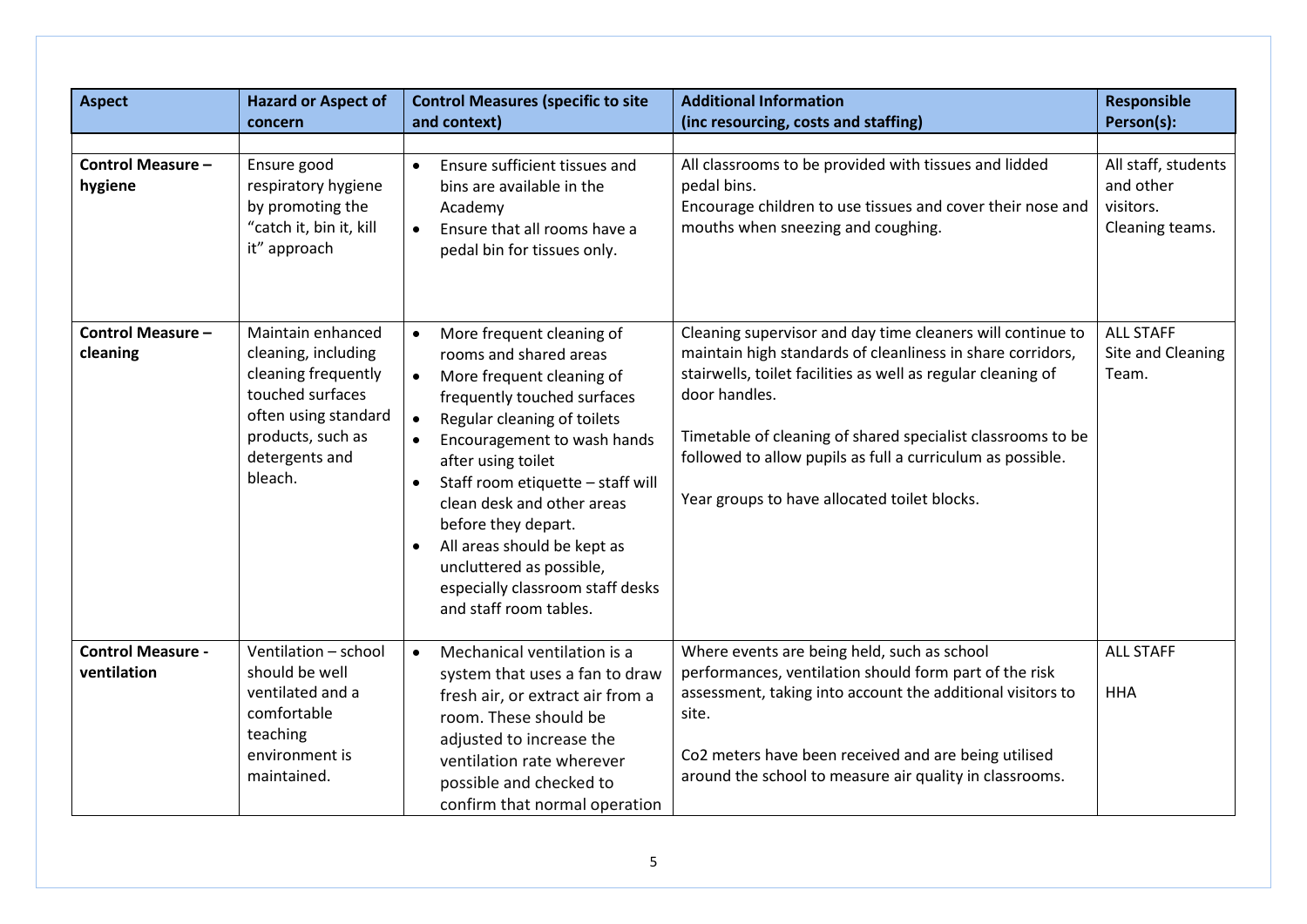| <b>Aspect</b>                           | <b>Hazard or Aspect of</b><br>concern                                                                                                                         | <b>Control Measures (specific to site</b><br>and context)                                                                                                                                                                                                                                                                                                                                                                                                                               | <b>Additional Information</b><br>(inc resourcing, costs and staffing)                                                                                                                                                                                                                                                                                                                  | <b>Responsible</b><br>Person(s):                                 |
|-----------------------------------------|---------------------------------------------------------------------------------------------------------------------------------------------------------------|-----------------------------------------------------------------------------------------------------------------------------------------------------------------------------------------------------------------------------------------------------------------------------------------------------------------------------------------------------------------------------------------------------------------------------------------------------------------------------------------|----------------------------------------------------------------------------------------------------------------------------------------------------------------------------------------------------------------------------------------------------------------------------------------------------------------------------------------------------------------------------------------|------------------------------------------------------------------|
| <b>Control Measure -</b><br>hygiene     | Ensure good<br>respiratory hygiene<br>by promoting the<br>"catch it, bin it, kill<br>it" approach                                                             | Ensure sufficient tissues and<br>$\bullet$<br>bins are available in the<br>Academy<br>Ensure that all rooms have a<br>$\bullet$<br>pedal bin for tissues only.                                                                                                                                                                                                                                                                                                                          | All classrooms to be provided with tissues and lidded<br>pedal bins.<br>Encourage children to use tissues and cover their nose and<br>mouths when sneezing and coughing.                                                                                                                                                                                                               | All staff, students<br>and other<br>visitors.<br>Cleaning teams. |
| <b>Control Measure -</b><br>cleaning    | Maintain enhanced<br>cleaning, including<br>cleaning frequently<br>touched surfaces<br>often using standard<br>products, such as<br>detergents and<br>bleach. | More frequent cleaning of<br>$\bullet$<br>rooms and shared areas<br>More frequent cleaning of<br>$\bullet$<br>frequently touched surfaces<br>Regular cleaning of toilets<br>$\bullet$<br>Encouragement to wash hands<br>$\bullet$<br>after using toilet<br>Staff room etiquette - staff will<br>clean desk and other areas<br>before they depart.<br>All areas should be kept as<br>$\bullet$<br>uncluttered as possible,<br>especially classroom staff desks<br>and staff room tables. | Cleaning supervisor and day time cleaners will continue to<br>maintain high standards of cleanliness in share corridors,<br>stairwells, toilet facilities as well as regular cleaning of<br>door handles.<br>Timetable of cleaning of shared specialist classrooms to be<br>followed to allow pupils as full a curriculum as possible.<br>Year groups to have allocated toilet blocks. | <b>ALL STAFF</b><br>Site and Cleaning<br>Team.                   |
| <b>Control Measure -</b><br>ventilation | Ventilation - school<br>should be well<br>ventilated and a<br>comfortable<br>teaching<br>environment is<br>maintained.                                        | Mechanical ventilation is a<br>$\bullet$<br>system that uses a fan to draw<br>fresh air, or extract air from a<br>room. These should be<br>adjusted to increase the<br>ventilation rate wherever<br>possible and checked to<br>confirm that normal operation                                                                                                                                                                                                                            | Where events are being held, such as school<br>performances, ventilation should form part of the risk<br>assessment, taking into account the additional visitors to<br>site.<br>Co2 meters have been received and are being utilised<br>around the school to measure air quality in classrooms.                                                                                        | <b>ALL STAFF</b><br><b>HHA</b>                                   |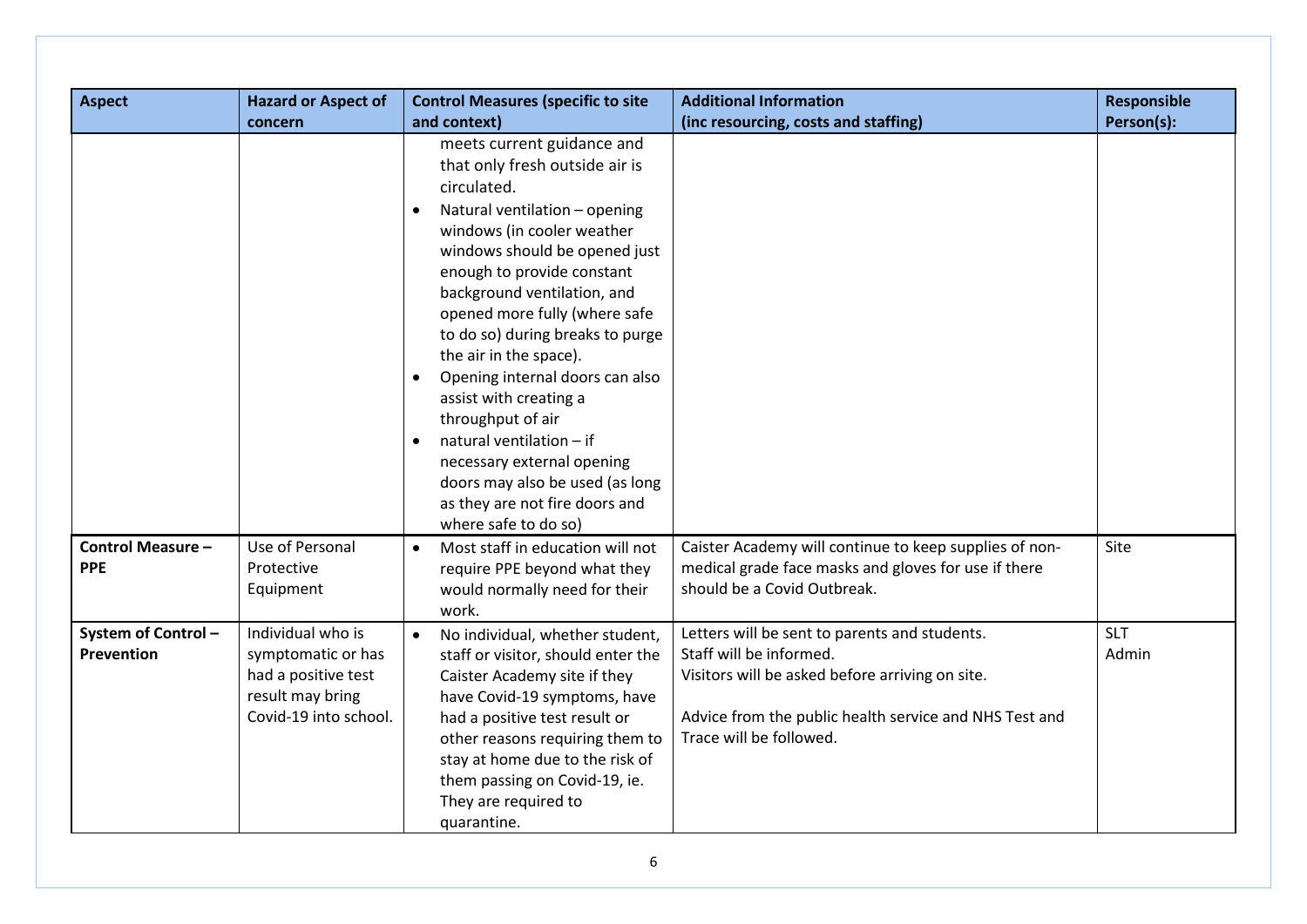| <b>Aspect</b>                           | <b>Hazard or Aspect of</b>                                                                                  | <b>Control Measures (specific to site</b>                                                                                                                                                                                                                                                                                                                                                                                                                                                                                                                                        | <b>Additional Information</b>                                                                                                                                                                                    | <b>Responsible</b>  |
|-----------------------------------------|-------------------------------------------------------------------------------------------------------------|----------------------------------------------------------------------------------------------------------------------------------------------------------------------------------------------------------------------------------------------------------------------------------------------------------------------------------------------------------------------------------------------------------------------------------------------------------------------------------------------------------------------------------------------------------------------------------|------------------------------------------------------------------------------------------------------------------------------------------------------------------------------------------------------------------|---------------------|
|                                         | concern                                                                                                     | and context)                                                                                                                                                                                                                                                                                                                                                                                                                                                                                                                                                                     | (inc resourcing, costs and staffing)                                                                                                                                                                             | Person(s):          |
|                                         |                                                                                                             | meets current guidance and<br>that only fresh outside air is<br>circulated.<br>Natural ventilation - opening<br>windows (in cooler weather<br>windows should be opened just<br>enough to provide constant<br>background ventilation, and<br>opened more fully (where safe<br>to do so) during breaks to purge<br>the air in the space).<br>Opening internal doors can also<br>assist with creating a<br>throughput of air<br>natural ventilation - if<br>necessary external opening<br>doors may also be used (as long<br>as they are not fire doors and<br>where safe to do so) |                                                                                                                                                                                                                  |                     |
| <b>Control Measure -</b><br><b>PPE</b>  | Use of Personal<br>Protective<br>Equipment                                                                  | Most staff in education will not<br>require PPE beyond what they<br>would normally need for their<br>work.                                                                                                                                                                                                                                                                                                                                                                                                                                                                       | Caister Academy will continue to keep supplies of non-<br>medical grade face masks and gloves for use if there<br>should be a Covid Outbreak.                                                                    | Site                |
| System of Control-<br><b>Prevention</b> | Individual who is<br>symptomatic or has<br>had a positive test<br>result may bring<br>Covid-19 into school. | No individual, whether student,<br>$\bullet$<br>staff or visitor, should enter the<br>Caister Academy site if they<br>have Covid-19 symptoms, have<br>had a positive test result or<br>other reasons requiring them to<br>stay at home due to the risk of<br>them passing on Covid-19, ie.<br>They are required to<br>quarantine.                                                                                                                                                                                                                                                | Letters will be sent to parents and students.<br>Staff will be informed.<br>Visitors will be asked before arriving on site.<br>Advice from the public health service and NHS Test and<br>Trace will be followed. | <b>SLT</b><br>Admin |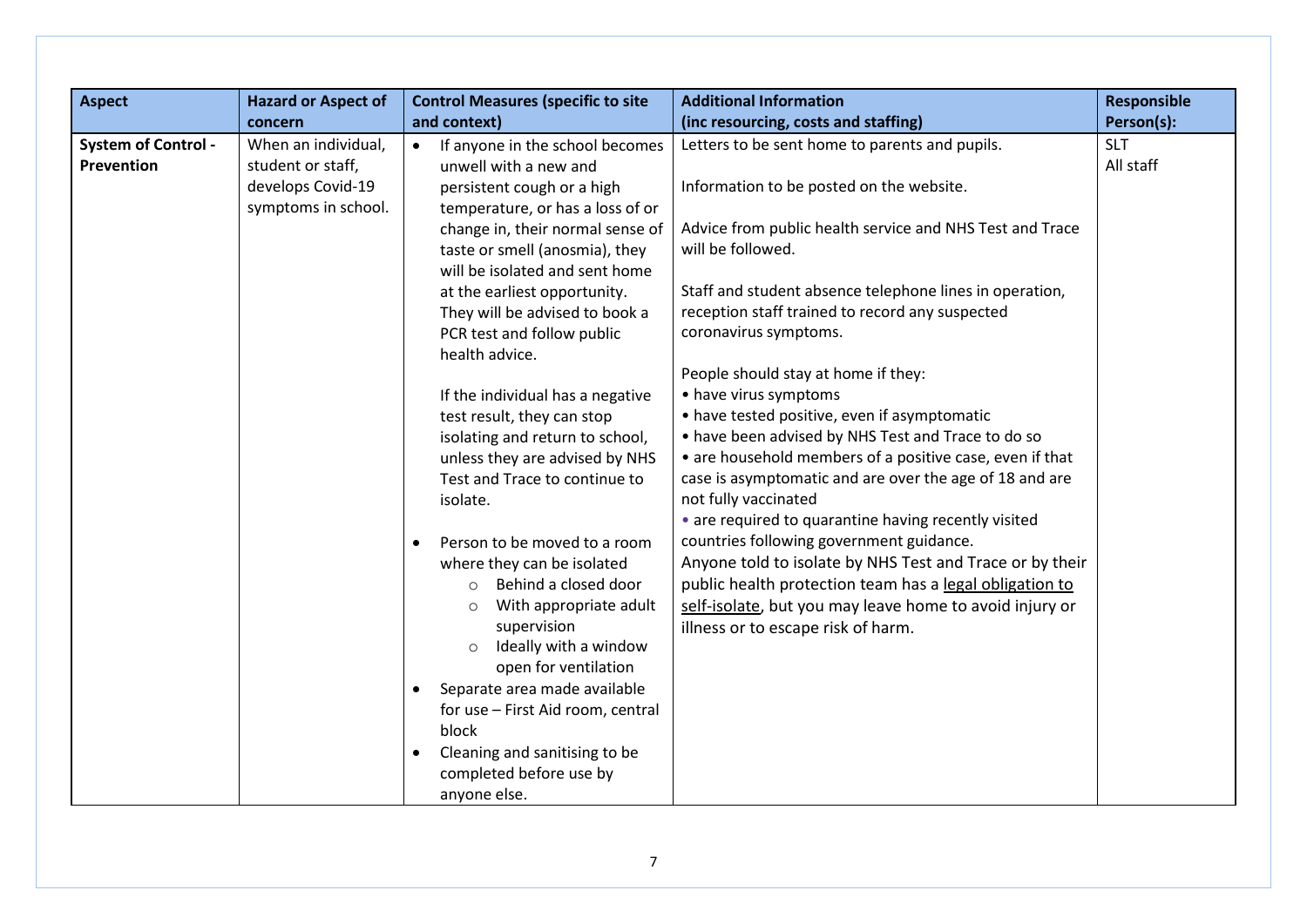|                                          | <b>Hazard or Aspect of</b>                                                                      | <b>Control Measures (specific to site</b>                                                                                                                                                                                                                                                                                                                                                                                                                                                                                                                                                                                                                                                                                                                                                                                                                            | <b>Additional Information</b>                                                                                                                                                                                                                                                                                                                                                                                                                                                                                                                                                                                                                                                                                                                                                                                                                                                                                                                                                                               | <b>Responsible</b>                    |
|------------------------------------------|-------------------------------------------------------------------------------------------------|----------------------------------------------------------------------------------------------------------------------------------------------------------------------------------------------------------------------------------------------------------------------------------------------------------------------------------------------------------------------------------------------------------------------------------------------------------------------------------------------------------------------------------------------------------------------------------------------------------------------------------------------------------------------------------------------------------------------------------------------------------------------------------------------------------------------------------------------------------------------|-------------------------------------------------------------------------------------------------------------------------------------------------------------------------------------------------------------------------------------------------------------------------------------------------------------------------------------------------------------------------------------------------------------------------------------------------------------------------------------------------------------------------------------------------------------------------------------------------------------------------------------------------------------------------------------------------------------------------------------------------------------------------------------------------------------------------------------------------------------------------------------------------------------------------------------------------------------------------------------------------------------|---------------------------------------|
|                                          |                                                                                                 |                                                                                                                                                                                                                                                                                                                                                                                                                                                                                                                                                                                                                                                                                                                                                                                                                                                                      |                                                                                                                                                                                                                                                                                                                                                                                                                                                                                                                                                                                                                                                                                                                                                                                                                                                                                                                                                                                                             |                                       |
| <b>System of Control -</b><br>Prevention | concern<br>When an individual,<br>student or staff,<br>develops Covid-19<br>symptoms in school. | and context)<br>If anyone in the school becomes<br>$\bullet$<br>unwell with a new and<br>persistent cough or a high<br>temperature, or has a loss of or<br>change in, their normal sense of<br>taste or smell (anosmia), they<br>will be isolated and sent home<br>at the earliest opportunity.<br>They will be advised to book a<br>PCR test and follow public<br>health advice.<br>If the individual has a negative<br>test result, they can stop<br>isolating and return to school,<br>unless they are advised by NHS<br>Test and Trace to continue to<br>isolate.<br>Person to be moved to a room<br>where they can be isolated<br>Behind a closed door<br>$\circ$<br>With appropriate adult<br>$\circ$<br>supervision<br>Ideally with a window<br>$\circ$<br>open for ventilation<br>Separate area made available<br>for use - First Aid room, central<br>block | (inc resourcing, costs and staffing)<br>Letters to be sent home to parents and pupils.<br>Information to be posted on the website.<br>Advice from public health service and NHS Test and Trace<br>will be followed.<br>Staff and student absence telephone lines in operation,<br>reception staff trained to record any suspected<br>coronavirus symptoms.<br>People should stay at home if they:<br>• have virus symptoms<br>• have tested positive, even if asymptomatic<br>• have been advised by NHS Test and Trace to do so<br>• are household members of a positive case, even if that<br>case is asymptomatic and are over the age of 18 and are<br>not fully vaccinated<br>• are required to quarantine having recently visited<br>countries following government guidance.<br>Anyone told to isolate by NHS Test and Trace or by their<br>public health protection team has a legal obligation to<br>self-isolate, but you may leave home to avoid injury or<br>illness or to escape risk of harm. | Person(s):<br><b>SLT</b><br>All staff |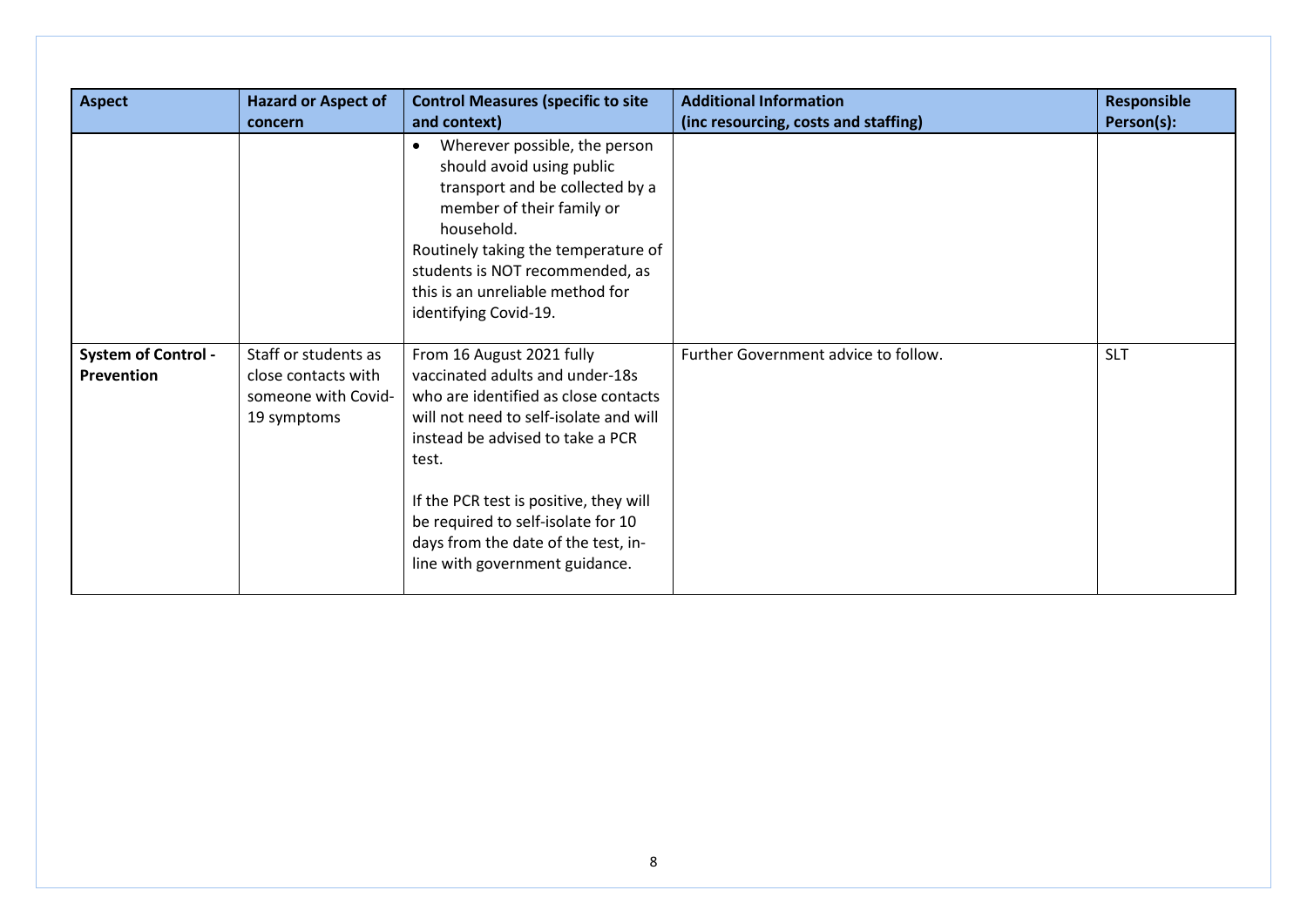| <b>Aspect</b>                            | <b>Hazard or Aspect of</b><br>concern                                             | <b>Control Measures (specific to site</b><br>and context)                                                                                                                                                                                                                                                                                            | <b>Additional Information</b><br>(inc resourcing, costs and staffing) | <b>Responsible</b><br>Person(s): |
|------------------------------------------|-----------------------------------------------------------------------------------|------------------------------------------------------------------------------------------------------------------------------------------------------------------------------------------------------------------------------------------------------------------------------------------------------------------------------------------------------|-----------------------------------------------------------------------|----------------------------------|
|                                          |                                                                                   | Wherever possible, the person<br>$\bullet$<br>should avoid using public<br>transport and be collected by a<br>member of their family or<br>household.<br>Routinely taking the temperature of<br>students is NOT recommended, as<br>this is an unreliable method for<br>identifying Covid-19.                                                         |                                                                       |                                  |
| <b>System of Control -</b><br>Prevention | Staff or students as<br>close contacts with<br>someone with Covid-<br>19 symptoms | From 16 August 2021 fully<br>vaccinated adults and under-18s<br>who are identified as close contacts<br>will not need to self-isolate and will<br>instead be advised to take a PCR<br>test.<br>If the PCR test is positive, they will<br>be required to self-isolate for 10<br>days from the date of the test, in-<br>line with government guidance. | Further Government advice to follow.                                  | <b>SLT</b>                       |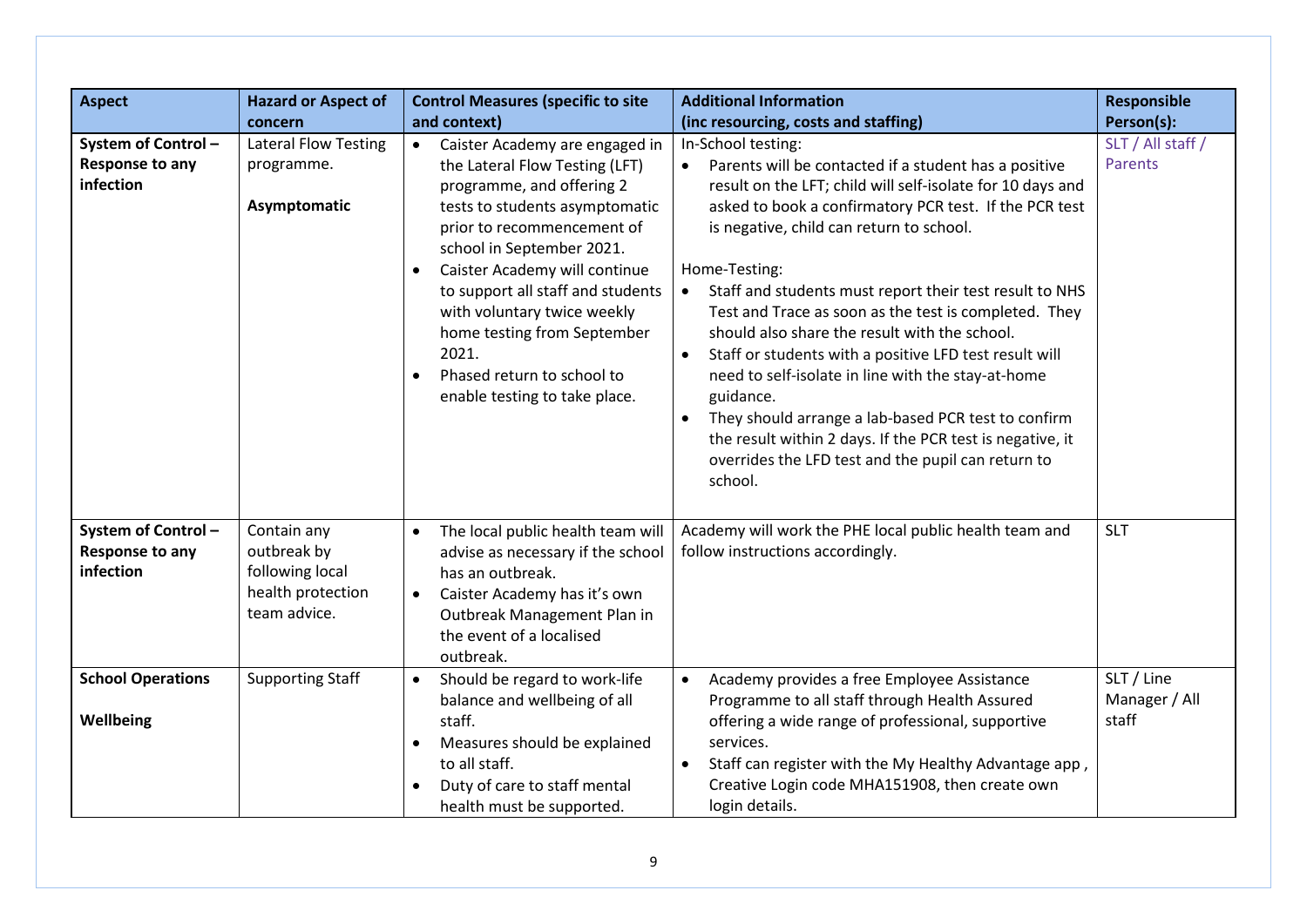| <b>Aspect</b>                                      | <b>Hazard or Aspect of</b>                                                         | <b>Control Measures (specific to site</b>                                                                                                                                                                                                                                                                                                                                                                                                     | <b>Additional Information</b>                                                                                                                                                                                                                                                                                                                                                                                                                                                                                                                                                                                                                                                                                                                           | <b>Responsible</b>                   |
|----------------------------------------------------|------------------------------------------------------------------------------------|-----------------------------------------------------------------------------------------------------------------------------------------------------------------------------------------------------------------------------------------------------------------------------------------------------------------------------------------------------------------------------------------------------------------------------------------------|---------------------------------------------------------------------------------------------------------------------------------------------------------------------------------------------------------------------------------------------------------------------------------------------------------------------------------------------------------------------------------------------------------------------------------------------------------------------------------------------------------------------------------------------------------------------------------------------------------------------------------------------------------------------------------------------------------------------------------------------------------|--------------------------------------|
|                                                    | concern                                                                            | and context)                                                                                                                                                                                                                                                                                                                                                                                                                                  | (inc resourcing, costs and staffing)                                                                                                                                                                                                                                                                                                                                                                                                                                                                                                                                                                                                                                                                                                                    | Person(s):                           |
| System of Control-<br>Response to any<br>infection | <b>Lateral Flow Testing</b><br>programme.<br>Asymptomatic                          | Caister Academy are engaged in<br>$\bullet$<br>the Lateral Flow Testing (LFT)<br>programme, and offering 2<br>tests to students asymptomatic<br>prior to recommencement of<br>school in September 2021.<br>Caister Academy will continue<br>$\bullet$<br>to support all staff and students<br>with voluntary twice weekly<br>home testing from September<br>2021.<br>Phased return to school to<br>$\bullet$<br>enable testing to take place. | In-School testing:<br>Parents will be contacted if a student has a positive<br>result on the LFT; child will self-isolate for 10 days and<br>asked to book a confirmatory PCR test. If the PCR test<br>is negative, child can return to school.<br>Home-Testing:<br>Staff and students must report their test result to NHS<br>Test and Trace as soon as the test is completed. They<br>should also share the result with the school.<br>Staff or students with a positive LFD test result will<br>need to self-isolate in line with the stay-at-home<br>guidance.<br>They should arrange a lab-based PCR test to confirm<br>the result within 2 days. If the PCR test is negative, it<br>overrides the LFD test and the pupil can return to<br>school. | SLT / All staff /<br><b>Parents</b>  |
| System of Control-<br>Response to any<br>infection | Contain any<br>outbreak by<br>following local<br>health protection<br>team advice. | The local public health team will<br>$\bullet$<br>advise as necessary if the school<br>has an outbreak.<br>Caister Academy has it's own<br>$\bullet$<br>Outbreak Management Plan in<br>the event of a localised<br>outbreak.                                                                                                                                                                                                                  | Academy will work the PHE local public health team and<br>follow instructions accordingly.                                                                                                                                                                                                                                                                                                                                                                                                                                                                                                                                                                                                                                                              | <b>SLT</b>                           |
| <b>School Operations</b><br>Wellbeing              | <b>Supporting Staff</b>                                                            | Should be regard to work-life<br>$\bullet$<br>balance and wellbeing of all<br>staff.<br>Measures should be explained<br>$\bullet$<br>to all staff.<br>Duty of care to staff mental<br>health must be supported.                                                                                                                                                                                                                               | Academy provides a free Employee Assistance<br>$\bullet$<br>Programme to all staff through Health Assured<br>offering a wide range of professional, supportive<br>services.<br>Staff can register with the My Healthy Advantage app,<br>Creative Login code MHA151908, then create own<br>login details.                                                                                                                                                                                                                                                                                                                                                                                                                                                | SLT / Line<br>Manager / All<br>staff |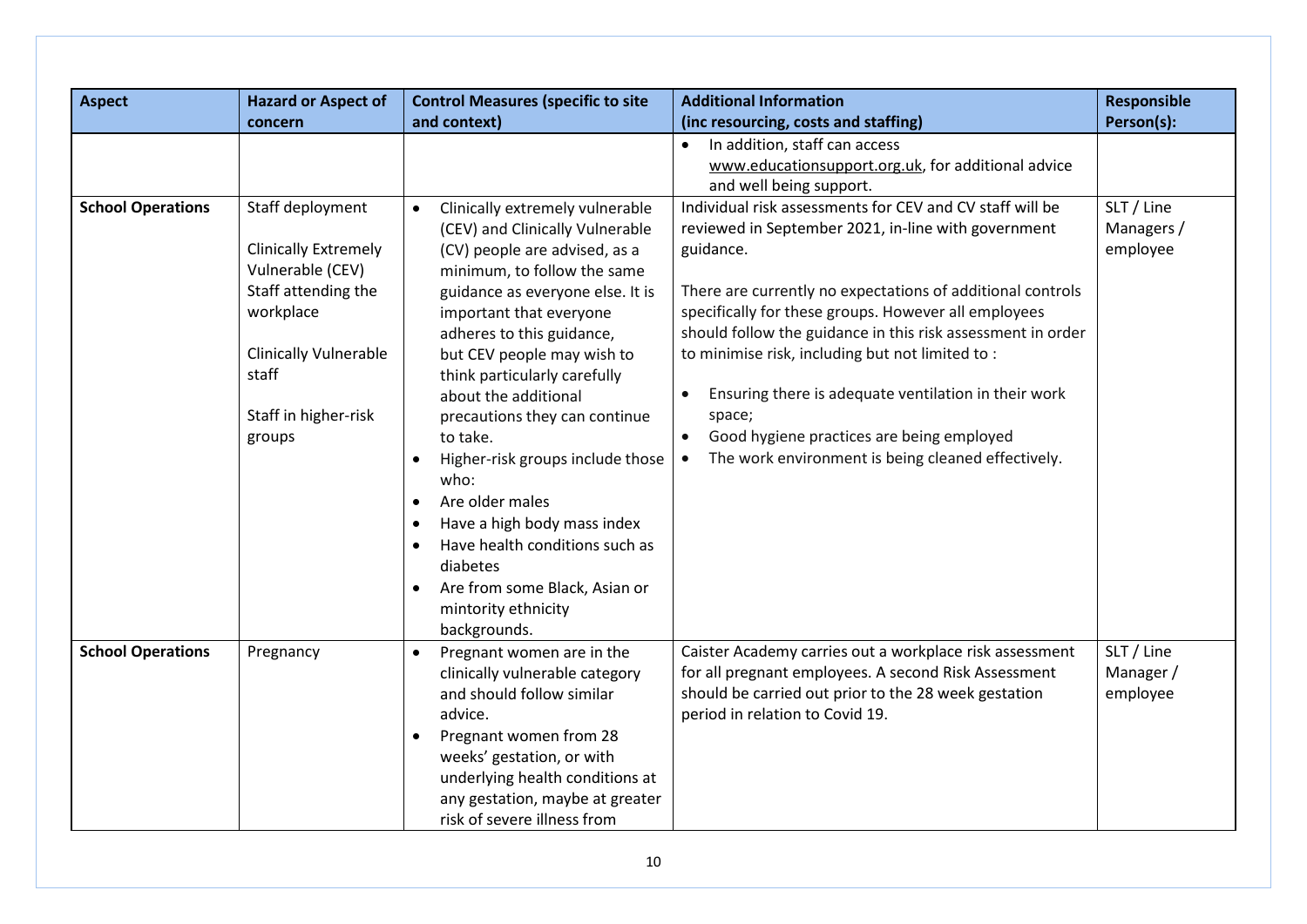| <b>Aspect</b>            | <b>Hazard or Aspect of</b>                                                                                                                                                         | <b>Control Measures (specific to site</b>                                                                                                                                                                                                                                                                                                                                                                                                                                                                                                                                                                                                 | <b>Additional Information</b>                                                                                                                                                                                                                                                                                                                                                                                                                                                                                                                                       | <b>Responsible</b>                   |
|--------------------------|------------------------------------------------------------------------------------------------------------------------------------------------------------------------------------|-------------------------------------------------------------------------------------------------------------------------------------------------------------------------------------------------------------------------------------------------------------------------------------------------------------------------------------------------------------------------------------------------------------------------------------------------------------------------------------------------------------------------------------------------------------------------------------------------------------------------------------------|---------------------------------------------------------------------------------------------------------------------------------------------------------------------------------------------------------------------------------------------------------------------------------------------------------------------------------------------------------------------------------------------------------------------------------------------------------------------------------------------------------------------------------------------------------------------|--------------------------------------|
|                          | concern                                                                                                                                                                            | and context)                                                                                                                                                                                                                                                                                                                                                                                                                                                                                                                                                                                                                              | (inc resourcing, costs and staffing)                                                                                                                                                                                                                                                                                                                                                                                                                                                                                                                                | Person(s):                           |
|                          |                                                                                                                                                                                    |                                                                                                                                                                                                                                                                                                                                                                                                                                                                                                                                                                                                                                           | In addition, staff can access<br>$\bullet$<br>www.educationsupport.org.uk, for additional advice<br>and well being support.                                                                                                                                                                                                                                                                                                                                                                                                                                         |                                      |
| <b>School Operations</b> | Staff deployment<br><b>Clinically Extremely</b><br>Vulnerable (CEV)<br>Staff attending the<br>workplace<br><b>Clinically Vulnerable</b><br>staff<br>Staff in higher-risk<br>groups | Clinically extremely vulnerable<br>$\bullet$<br>(CEV) and Clinically Vulnerable<br>(CV) people are advised, as a<br>minimum, to follow the same<br>guidance as everyone else. It is<br>important that everyone<br>adheres to this guidance,<br>but CEV people may wish to<br>think particularly carefully<br>about the additional<br>precautions they can continue<br>to take.<br>Higher-risk groups include those<br>$\bullet$<br>who:<br>Are older males<br>Have a high body mass index<br>$\bullet$<br>Have health conditions such as<br>diabetes<br>Are from some Black, Asian or<br>$\bullet$<br>mintority ethnicity<br>backgrounds. | Individual risk assessments for CEV and CV staff will be<br>reviewed in September 2021, in-line with government<br>guidance.<br>There are currently no expectations of additional controls<br>specifically for these groups. However all employees<br>should follow the guidance in this risk assessment in order<br>to minimise risk, including but not limited to:<br>Ensuring there is adequate ventilation in their work<br>space;<br>Good hygiene practices are being employed<br>$\bullet$<br>The work environment is being cleaned effectively.<br>$\bullet$ | SLT / Line<br>Managers /<br>employee |
| <b>School Operations</b> | Pregnancy                                                                                                                                                                          | Pregnant women are in the<br>$\bullet$<br>clinically vulnerable category<br>and should follow similar<br>advice.<br>Pregnant women from 28<br>$\bullet$<br>weeks' gestation, or with<br>underlying health conditions at<br>any gestation, maybe at greater<br>risk of severe illness from                                                                                                                                                                                                                                                                                                                                                 | Caister Academy carries out a workplace risk assessment<br>for all pregnant employees. A second Risk Assessment<br>should be carried out prior to the 28 week gestation<br>period in relation to Covid 19.                                                                                                                                                                                                                                                                                                                                                          | SLT / Line<br>Manager /<br>employee  |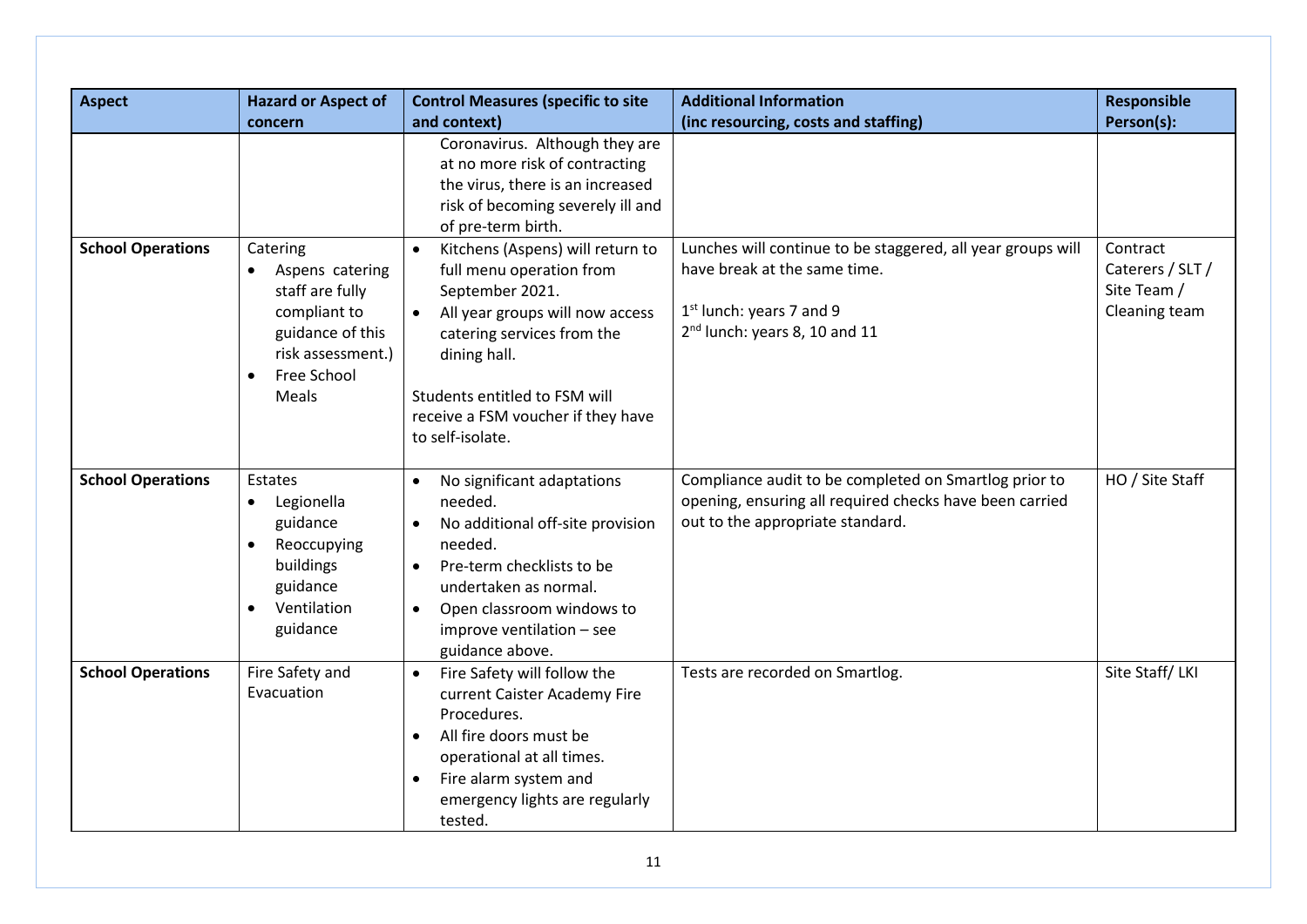| <b>Aspect</b>            | <b>Hazard or Aspect of</b>                                                                                                                   | <b>Control Measures (specific to site</b>                                                                                                                                                                                                                                             | <b>Additional Information</b>                                                                                                                                          | <b>Responsible</b>                                           |
|--------------------------|----------------------------------------------------------------------------------------------------------------------------------------------|---------------------------------------------------------------------------------------------------------------------------------------------------------------------------------------------------------------------------------------------------------------------------------------|------------------------------------------------------------------------------------------------------------------------------------------------------------------------|--------------------------------------------------------------|
|                          | concern                                                                                                                                      | and context)                                                                                                                                                                                                                                                                          | (inc resourcing, costs and staffing)                                                                                                                                   | Person(s):                                                   |
|                          |                                                                                                                                              | Coronavirus. Although they are<br>at no more risk of contracting<br>the virus, there is an increased<br>risk of becoming severely ill and<br>of pre-term birth.                                                                                                                       |                                                                                                                                                                        |                                                              |
| <b>School Operations</b> | Catering<br>Aspens catering<br>staff are fully<br>compliant to<br>guidance of this<br>risk assessment.)<br>Free School<br>$\bullet$<br>Meals | Kitchens (Aspens) will return to<br>$\bullet$<br>full menu operation from<br>September 2021.<br>All year groups will now access<br>$\bullet$<br>catering services from the<br>dining hall.<br>Students entitled to FSM will<br>receive a FSM voucher if they have<br>to self-isolate. | Lunches will continue to be staggered, all year groups will<br>have break at the same time.<br>$1st$ lunch: years 7 and 9<br>2 <sup>nd</sup> lunch: years 8, 10 and 11 | Contract<br>Caterers / SLT /<br>Site Team /<br>Cleaning team |
| <b>School Operations</b> | Estates<br>Legionella<br>$\bullet$<br>guidance<br>Reoccupying<br>$\bullet$<br>buildings<br>guidance<br>Ventilation<br>$\bullet$<br>guidance  | No significant adaptations<br>needed.<br>No additional off-site provision<br>needed.<br>Pre-term checklists to be<br>$\bullet$<br>undertaken as normal.<br>Open classroom windows to<br>$\bullet$<br>improve ventilation - see<br>guidance above.                                     | Compliance audit to be completed on Smartlog prior to<br>opening, ensuring all required checks have been carried<br>out to the appropriate standard.                   | HO / Site Staff                                              |
| <b>School Operations</b> | Fire Safety and<br>Evacuation                                                                                                                | Fire Safety will follow the<br>$\bullet$<br>current Caister Academy Fire<br>Procedures.<br>All fire doors must be<br>operational at all times.<br>Fire alarm system and<br>emergency lights are regularly<br>tested.                                                                  | Tests are recorded on Smartlog.                                                                                                                                        | Site Staff/LKI                                               |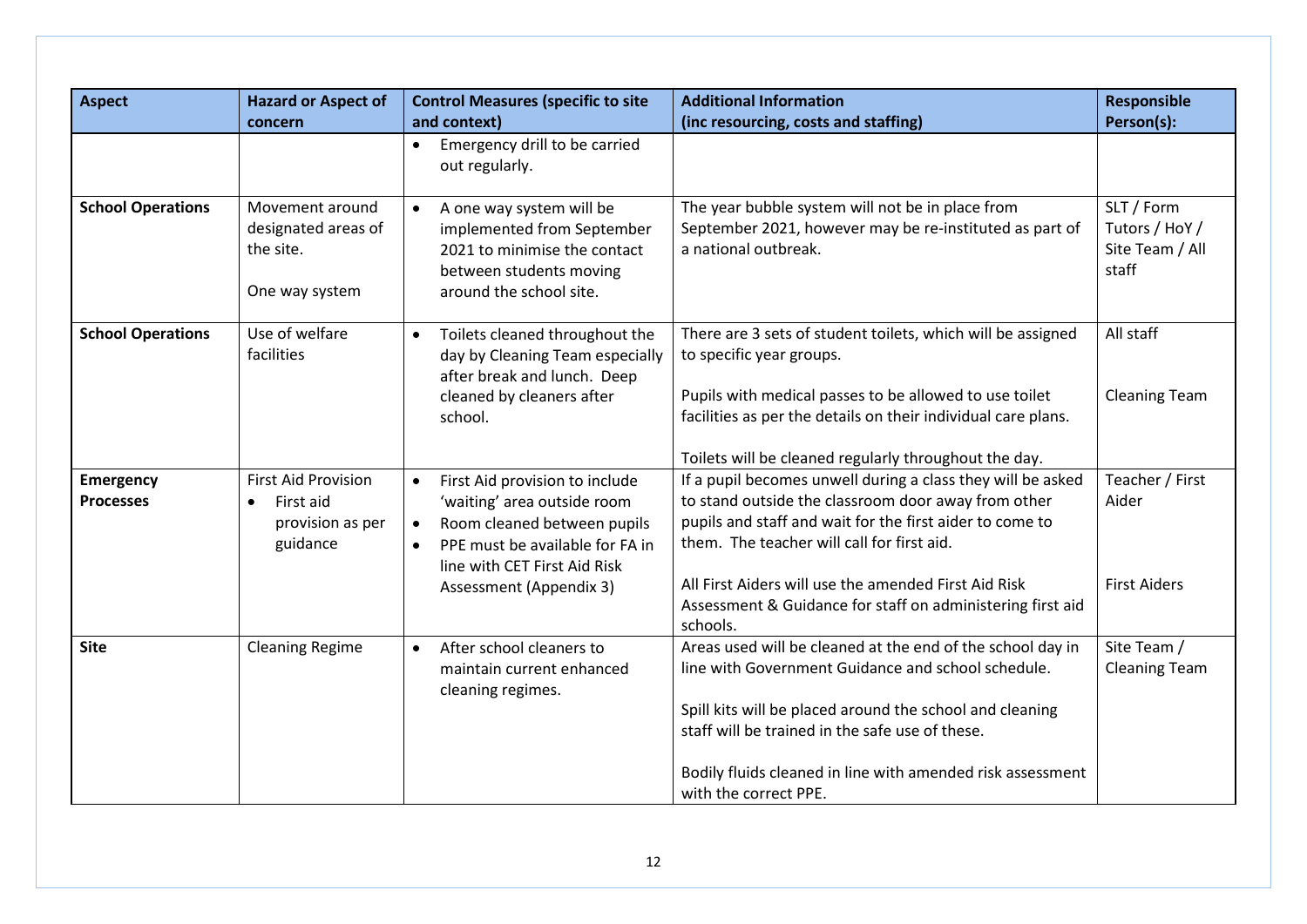| <b>Aspect</b>                        | <b>Hazard or Aspect of</b><br>concern                                                | <b>Control Measures (specific to site</b><br>and context)                                                                                                                                                                         | <b>Additional Information</b><br>(inc resourcing, costs and staffing)                                                                                                                                                                                                                                                                                          | Responsible<br>Person(s):                                |
|--------------------------------------|--------------------------------------------------------------------------------------|-----------------------------------------------------------------------------------------------------------------------------------------------------------------------------------------------------------------------------------|----------------------------------------------------------------------------------------------------------------------------------------------------------------------------------------------------------------------------------------------------------------------------------------------------------------------------------------------------------------|----------------------------------------------------------|
|                                      |                                                                                      | Emergency drill to be carried<br>$\bullet$<br>out regularly.                                                                                                                                                                      |                                                                                                                                                                                                                                                                                                                                                                |                                                          |
| <b>School Operations</b>             | Movement around<br>designated areas of<br>the site.<br>One way system                | A one way system will be<br>$\bullet$<br>implemented from September<br>2021 to minimise the contact<br>between students moving<br>around the school site.                                                                         | The year bubble system will not be in place from<br>September 2021, however may be re-instituted as part of<br>a national outbreak.                                                                                                                                                                                                                            | SLT / Form<br>Tutors / HoY /<br>Site Team / All<br>staff |
| <b>School Operations</b>             | Use of welfare<br>facilities                                                         | Toilets cleaned throughout the<br>$\bullet$<br>day by Cleaning Team especially<br>after break and lunch. Deep<br>cleaned by cleaners after<br>school.                                                                             | There are 3 sets of student toilets, which will be assigned<br>to specific year groups.<br>Pupils with medical passes to be allowed to use toilet<br>facilities as per the details on their individual care plans.<br>Toilets will be cleaned regularly throughout the day.                                                                                    | All staff<br><b>Cleaning Team</b>                        |
| <b>Emergency</b><br><b>Processes</b> | <b>First Aid Provision</b><br>First aid<br>$\bullet$<br>provision as per<br>guidance | First Aid provision to include<br>$\bullet$<br>'waiting' area outside room<br>Room cleaned between pupils<br>$\bullet$<br>PPE must be available for FA in<br>$\bullet$<br>line with CET First Aid Risk<br>Assessment (Appendix 3) | If a pupil becomes unwell during a class they will be asked<br>to stand outside the classroom door away from other<br>pupils and staff and wait for the first aider to come to<br>them. The teacher will call for first aid.<br>All First Aiders will use the amended First Aid Risk<br>Assessment & Guidance for staff on administering first aid<br>schools. | Teacher / First<br>Aider<br><b>First Aiders</b>          |
| <b>Site</b>                          | <b>Cleaning Regime</b>                                                               | After school cleaners to<br>$\bullet$<br>maintain current enhanced<br>cleaning regimes.                                                                                                                                           | Areas used will be cleaned at the end of the school day in<br>line with Government Guidance and school schedule.<br>Spill kits will be placed around the school and cleaning<br>staff will be trained in the safe use of these.<br>Bodily fluids cleaned in line with amended risk assessment<br>with the correct PPE.                                         | Site Team /<br><b>Cleaning Team</b>                      |